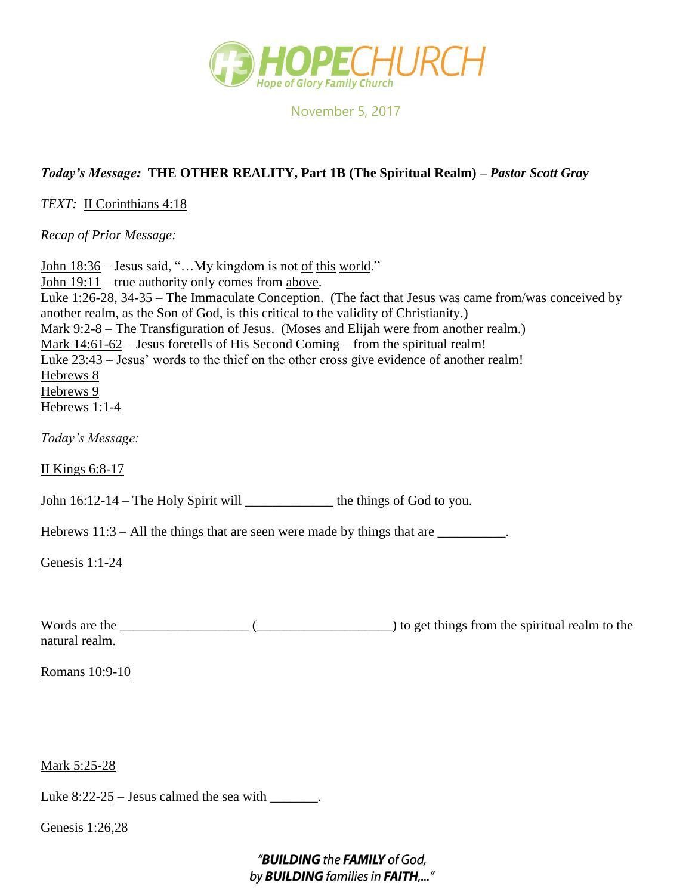

November 5, 2017

## *Today's Message:* **THE OTHER REALITY, Part 1B (The Spiritual Realm) –** *Pastor Scott Gray*

*TEXT:* II Corinthians 4:18

*Recap of Prior Message:*

John 18:36 – Jesus said, "...My kingdom is not of this world." John 19:11 – true authority only comes from above. Luke 1:26-28, 34-35 – The Immaculate Conception. (The fact that Jesus was came from/was conceived by another realm, as the Son of God, is this critical to the validity of Christianity.) Mark 9:2-8 – The Transfiguration of Jesus. (Moses and Elijah were from another realm.) Mark 14:61-62 – Jesus foretells of His Second Coming – from the spiritual realm! Luke 23:43 – Jesus' words to the thief on the other cross give evidence of another realm! Hebrews 8 Hebrews 9 Hebrews 1:1-4

*Today's Message:*

II Kings 6:8-17

John  $16:12-14$  – The Holy Spirit will \_\_\_\_\_\_\_\_\_\_\_\_\_\_\_\_ the things of God to you.

Hebrews  $11:3 - Al$  the things that are seen were made by things that are  $\overline{\phantom{a}}$ .

Genesis 1:1-24

Words are the  $\frac{1}{\sqrt{2\pi}}$  ( $\frac{1}{\sqrt{2\pi}}$  ( $\frac{1}{\sqrt{2\pi}}$ ) to get things from the spiritual realm to the natural realm.

Romans 10:9-10

Mark 5:25-28

Luke  $8:22-25$  – Jesus calmed the sea with  $\qquad \qquad$ .

Genesis 1:26,28

"BUILDING the FAMILY of God, by **BUILDING** families in FAITH,..."